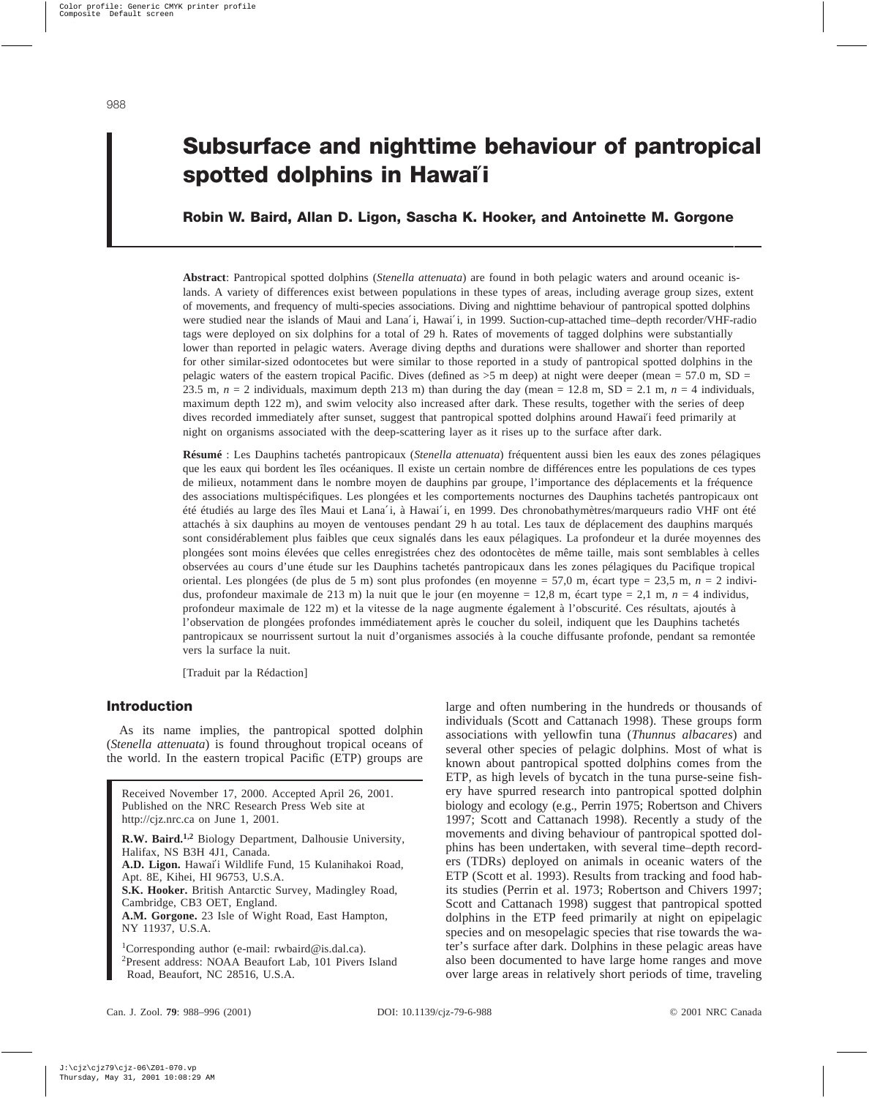# **Subsurface and nighttime behaviour of pantropical spotted dolphins in Hawai**′**i**

# **Robin W. Baird, Allan D. Ligon, Sascha K. Hooker, and Antoinette M. Gorgone**

**Abstract**: Pantropical spotted dolphins (*Stenella attenuata*) are found in both pelagic waters and around oceanic islands. A variety of differences exist between populations in these types of areas, including average group sizes, extent of movements, and frequency of multi-species associations. Diving and nighttime behaviour of pantropical spotted dolphins were studied near the islands of Maui and Lana'i, Hawai'i, in 1999. Suction-cup-attached time–depth recorder/VHF-radio tags were deployed on six dolphins for a total of 29 h. Rates of movements of tagged dolphins were substantially lower than reported in pelagic waters. Average diving depths and durations were shallower and shorter than reported for other similar-sized odontocetes but were similar to those reported in a study of pantropical spotted dolphins in the pelagic waters of the eastern tropical Pacific. Dives (defined as  $>5$  m deep) at night were deeper (mean = 57.0 m, SD = 23.5 m,  $n = 2$  individuals, maximum depth 213 m) than during the day (mean = 12.8 m, SD = 2.1 m,  $n = 4$  individuals, maximum depth 122 m), and swim velocity also increased after dark. These results, together with the series of deep dives recorded immediately after sunset, suggest that pantropical spotted dolphins around Hawai′i feed primarily at night on organisms associated with the deep-scattering layer as it rises up to the surface after dark.

**Résumé** : Les Dauphins tachetés pantropicaux (*Stenella attenuata*) fréquentent aussi bien les eaux des zones pélagiques que les eaux qui bordent les îles océaniques. Il existe un certain nombre de différences entre les populations de ces types de milieux, notamment dans le nombre moyen de dauphins par groupe, l'importance des déplacements et la fréquence des associations multispécifiques. Les plongées et les comportements nocturnes des Dauphins tachetés pantropicaux ont été étudiés au large des îles Maui et Lana′i, à Hawai′i, en 1999. Des chronobathymètres/marqueurs radio VHF ont été attachés à six dauphins au moyen de ventouses pendant 29 h au total. Les taux de déplacement des dauphins marqués sont considérablement plus faibles que ceux signalés dans les eaux pélagiques. La profondeur et la durée moyennes des plongées sont moins élevées que celles enregistrées chez des odontocètes de même taille, mais sont semblables à celles observées au cours d'une étude sur les Dauphins tachetés pantropicaux dans les zones pélagiques du Pacifique tropical oriental. Les plongées (de plus de 5 m) sont plus profondes (en moyenne = 57,0 m, écart type = 23,5 m, *n* = 2 individus, profondeur maximale de 213 m) la nuit que le jour (en moyenne = 12,8 m, écart type = 2,1 m, *n* = 4 individus, profondeur maximale de 122 m) et la vitesse de la nage augmente également à l'obscurité. Ces résultats, ajoutés à l'observation de plongées profondes immédiatement après le coucher du soleil, indiquent que les Dauphins tachetés pantropicaux se nourrissent surtout la nuit d'organismes associés à la couche diffusante profonde, pendant sa remontée vers la surface la nuit.

[Traduit par la Rédaction]

# **Introduction**

As its name implies, the pantropical spotted dolphin (*Stenella attenuata*) is found throughout tropical oceans of the world. In the eastern tropical Pacific (ETP) groups are

Received November 17, 2000. Accepted April 26, 2001. Published on the NRC Research Press Web site at http://cjz.nrc.ca on June 1, 2001.

**R.W. Baird.1,2** Biology Department, Dalhousie University, Halifax, NS B3H 4J1, Canada.

**A.D. Ligon.** Hawai′i Wildlife Fund, 15 Kulanihakoi Road, Apt. 8E, Kihei, HI 96753, U.S.A.

**S.K. Hooker.** British Antarctic Survey, Madingley Road, Cambridge, CB3 OET, England.

**A.M. Gorgone.** 23 Isle of Wight Road, East Hampton, NY 11937, U.S.A.

<sup>1</sup>Corresponding author (e-mail: rwbaird@is.dal.ca). 2 Present address: NOAA Beaufort Lab, 101 Pivers Island Road, Beaufort, NC 28516, U.S.A.

large and often numbering in the hundreds or thousands of individuals (Scott and Cattanach 1998). These groups form associations with yellowfin tuna (*Thunnus albacares*) and several other species of pelagic dolphins. Most of what is known about pantropical spotted dolphins comes from the ETP, as high levels of bycatch in the tuna purse-seine fishery have spurred research into pantropical spotted dolphin biology and ecology (e.g., Perrin 1975; Robertson and Chivers 1997; Scott and Cattanach 1998). Recently a study of the movements and diving behaviour of pantropical spotted dolphins has been undertaken, with several time–depth recorders (TDRs) deployed on animals in oceanic waters of the ETP (Scott et al. 1993). Results from tracking and food habits studies (Perrin et al. 1973; Robertson and Chivers 1997; Scott and Cattanach 1998) suggest that pantropical spotted dolphins in the ETP feed primarily at night on epipelagic species and on mesopelagic species that rise towards the water's surface after dark. Dolphins in these pelagic areas have also been documented to have large home ranges and move over large areas in relatively short periods of time, traveling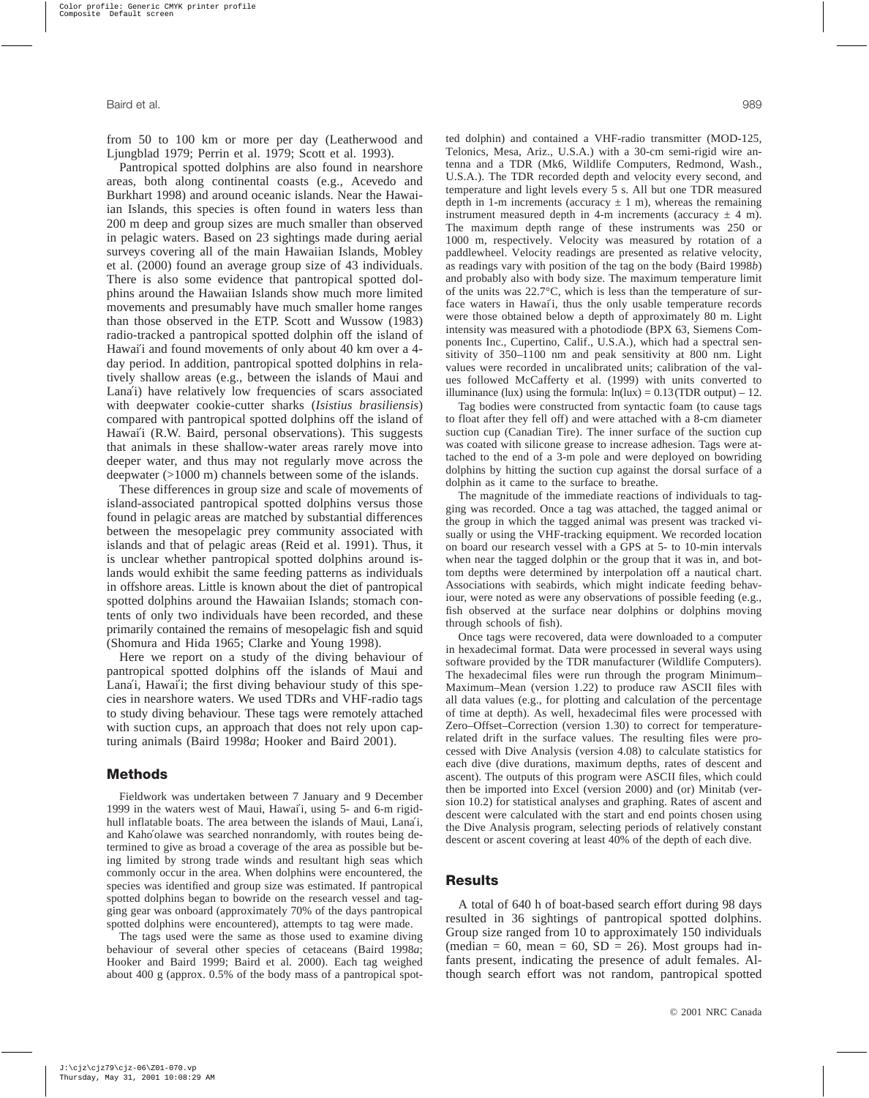from 50 to 100 km or more per day (Leatherwood and Ljungblad 1979; Perrin et al. 1979; Scott et al. 1993).

Pantropical spotted dolphins are also found in nearshore areas, both along continental coasts (e.g., Acevedo and Burkhart 1998) and around oceanic islands. Near the Hawaiian Islands, this species is often found in waters less than 200 m deep and group sizes are much smaller than observed in pelagic waters. Based on 23 sightings made during aerial surveys covering all of the main Hawaiian Islands, Mobley et al. (2000) found an average group size of 43 individuals. There is also some evidence that pantropical spotted dolphins around the Hawaiian Islands show much more limited movements and presumably have much smaller home ranges than those observed in the ETP. Scott and Wussow (1983) radio-tracked a pantropical spotted dolphin off the island of Hawai′i and found movements of only about 40 km over a 4 day period. In addition, pantropical spotted dolphins in relatively shallow areas (e.g., between the islands of Maui and Lana′i) have relatively low frequencies of scars associated with deepwater cookie-cutter sharks (*Isistius brasiliensis*) compared with pantropical spotted dolphins off the island of Hawai′i (R.W. Baird, personal observations). This suggests that animals in these shallow-water areas rarely move into deeper water, and thus may not regularly move across the deepwater (>1000 m) channels between some of the islands.

These differences in group size and scale of movements of island-associated pantropical spotted dolphins versus those found in pelagic areas are matched by substantial differences between the mesopelagic prey community associated with islands and that of pelagic areas (Reid et al. 1991). Thus, it is unclear whether pantropical spotted dolphins around islands would exhibit the same feeding patterns as individuals in offshore areas. Little is known about the diet of pantropical spotted dolphins around the Hawaiian Islands; stomach contents of only two individuals have been recorded, and these primarily contained the remains of mesopelagic fish and squid (Shomura and Hida 1965; Clarke and Young 1998).

Here we report on a study of the diving behaviour of pantropical spotted dolphins off the islands of Maui and Lana'i, Hawai'i; the first diving behaviour study of this species in nearshore waters. We used TDRs and VHF-radio tags to study diving behaviour. These tags were remotely attached with suction cups, an approach that does not rely upon capturing animals (Baird 1998*a*; Hooker and Baird 2001).

## **Methods**

Fieldwork was undertaken between 7 January and 9 December 1999 in the waters west of Maui, Hawai′i, using 5- and 6-m rigidhull inflatable boats. The area between the islands of Maui, Lana′i, and Kaho′olawe was searched nonrandomly, with routes being determined to give as broad a coverage of the area as possible but being limited by strong trade winds and resultant high seas which commonly occur in the area. When dolphins were encountered, the species was identified and group size was estimated. If pantropical spotted dolphins began to bowride on the research vessel and tagging gear was onboard (approximately 70% of the days pantropical spotted dolphins were encountered), attempts to tag were made.

The tags used were the same as those used to examine diving behaviour of several other species of cetaceans (Baird 1998*a*; Hooker and Baird 1999; Baird et al. 2000). Each tag weighed about 400 g (approx. 0.5% of the body mass of a pantropical spotted dolphin) and contained a VHF-radio transmitter (MOD-125, Telonics, Mesa, Ariz., U.S.A.) with a 30-cm semi-rigid wire antenna and a TDR (Mk6, Wildlife Computers, Redmond, Wash., U.S.A.). The TDR recorded depth and velocity every second, and temperature and light levels every 5 s. All but one TDR measured depth in 1-m increments (accuracy  $\pm$  1 m), whereas the remaining instrument measured depth in 4-m increments (accuracy  $\pm$  4 m). The maximum depth range of these instruments was 250 or 1000 m, respectively. Velocity was measured by rotation of a paddlewheel. Velocity readings are presented as relative velocity, as readings vary with position of the tag on the body (Baird 1998*b*) and probably also with body size. The maximum temperature limit of the units was 22.7°C, which is less than the temperature of surface waters in Hawai′i, thus the only usable temperature records were those obtained below a depth of approximately 80 m. Light intensity was measured with a photodiode (BPX 63, Siemens Components Inc., Cupertino, Calif., U.S.A.), which had a spectral sensitivity of 350–1100 nm and peak sensitivity at 800 nm. Light values were recorded in uncalibrated units; calibration of the values followed McCafferty et al. (1999) with units converted to illuminance (lux) using the formula:  $ln(lux) = 0.13(TDR output) - 12$ .

Tag bodies were constructed from syntactic foam (to cause tags to float after they fell off) and were attached with a 8-cm diameter suction cup (Canadian Tire). The inner surface of the suction cup was coated with silicone grease to increase adhesion. Tags were attached to the end of a 3-m pole and were deployed on bowriding dolphins by hitting the suction cup against the dorsal surface of a dolphin as it came to the surface to breathe.

The magnitude of the immediate reactions of individuals to tagging was recorded. Once a tag was attached, the tagged animal or the group in which the tagged animal was present was tracked visually or using the VHF-tracking equipment. We recorded location on board our research vessel with a GPS at 5- to 10-min intervals when near the tagged dolphin or the group that it was in, and bottom depths were determined by interpolation off a nautical chart. Associations with seabirds, which might indicate feeding behaviour, were noted as were any observations of possible feeding (e.g., fish observed at the surface near dolphins or dolphins moving through schools of fish).

Once tags were recovered, data were downloaded to a computer in hexadecimal format. Data were processed in several ways using software provided by the TDR manufacturer (Wildlife Computers). The hexadecimal files were run through the program Minimum– Maximum–Mean (version 1.22) to produce raw ASCII files with all data values (e.g., for plotting and calculation of the percentage of time at depth). As well, hexadecimal files were processed with Zero–Offset–Correction (version 1.30) to correct for temperaturerelated drift in the surface values. The resulting files were processed with Dive Analysis (version 4.08) to calculate statistics for each dive (dive durations, maximum depths, rates of descent and ascent). The outputs of this program were ASCII files, which could then be imported into Excel (version 2000) and (or) Minitab (version 10.2) for statistical analyses and graphing. Rates of ascent and descent were calculated with the start and end points chosen using the Dive Analysis program, selecting periods of relatively constant descent or ascent covering at least 40% of the depth of each dive.

#### **Results**

A total of 640 h of boat-based search effort during 98 days resulted in 36 sightings of pantropical spotted dolphins. Group size ranged from 10 to approximately 150 individuals (median = 60, mean = 60,  $SD = 26$ ). Most groups had infants present, indicating the presence of adult females. Although search effort was not random, pantropical spotted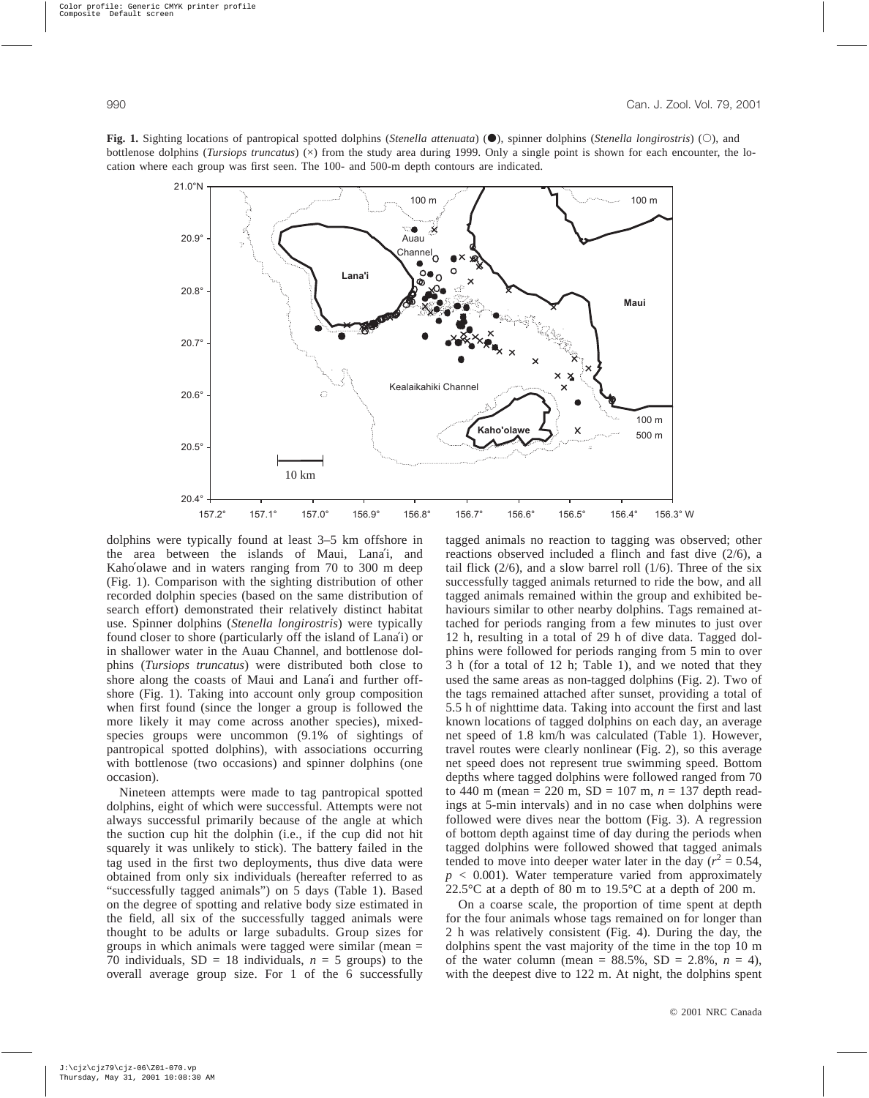**Fig. 1.** Sighting locations of pantropical spotted dolphins (*Stenella attenuata*)  $\left(\bullet\right)$ , spinner dolphins (*Stenella longirostris*) ( $\circ$ ), and bottlenose dolphins (*Tursiops truncatus*) ( $\times$ ) from the study area during 1999. Only a single point is shown for each encounter, the location where each group was first seen. The 100- and 500-m depth contours are indicated.



dolphins were typically found at least 3–5 km offshore in the area between the islands of Maui, Lana′i, and Kaho'olawe and in waters ranging from 70 to 300 m deep (Fig. 1). Comparison with the sighting distribution of other recorded dolphin species (based on the same distribution of search effort) demonstrated their relatively distinct habitat use. Spinner dolphins (*Stenella longirostris*) were typically found closer to shore (particularly off the island of Lana′i) or in shallower water in the Auau Channel, and bottlenose dolphins (*Tursiops truncatus*) were distributed both close to shore along the coasts of Maui and Lana′i and further offshore (Fig. 1). Taking into account only group composition when first found (since the longer a group is followed the more likely it may come across another species), mixedspecies groups were uncommon (9.1% of sightings of pantropical spotted dolphins), with associations occurring with bottlenose (two occasions) and spinner dolphins (one occasion).

Nineteen attempts were made to tag pantropical spotted dolphins, eight of which were successful. Attempts were not always successful primarily because of the angle at which the suction cup hit the dolphin (i.e., if the cup did not hit squarely it was unlikely to stick). The battery failed in the tag used in the first two deployments, thus dive data were obtained from only six individuals (hereafter referred to as "successfully tagged animals") on 5 days (Table 1). Based on the degree of spotting and relative body size estimated in the field, all six of the successfully tagged animals were thought to be adults or large subadults. Group sizes for groups in which animals were tagged were similar (mean = 70 individuals,  $SD = 18$  individuals,  $n = 5$  groups) to the overall average group size. For 1 of the 6 successfully tagged animals no reaction to tagging was observed; other reactions observed included a flinch and fast dive (2/6), a tail flick  $(2/6)$ , and a slow barrel roll  $(1/6)$ . Three of the six successfully tagged animals returned to ride the bow, and all tagged animals remained within the group and exhibited behaviours similar to other nearby dolphins. Tags remained attached for periods ranging from a few minutes to just over 12 h, resulting in a total of 29 h of dive data. Tagged dolphins were followed for periods ranging from 5 min to over 3 h (for a total of 12 h; Table 1), and we noted that they used the same areas as non-tagged dolphins (Fig. 2). Two of the tags remained attached after sunset, providing a total of 5.5 h of nighttime data. Taking into account the first and last known locations of tagged dolphins on each day, an average net speed of 1.8 km/h was calculated (Table 1). However, travel routes were clearly nonlinear (Fig. 2), so this average net speed does not represent true swimming speed. Bottom depths where tagged dolphins were followed ranged from 70 to 440 m (mean = 220 m, SD = 107 m, *n* = 137 depth readings at 5-min intervals) and in no case when dolphins were followed were dives near the bottom (Fig. 3). A regression of bottom depth against time of day during the periods when tagged dolphins were followed showed that tagged animals tended to move into deeper water later in the day  $(r^2 = 0.54,$  $p < 0.001$ ). Water temperature varied from approximately 22.5 $\degree$ C at a depth of 80 m to 19.5 $\degree$ C at a depth of 200 m.

On a coarse scale, the proportion of time spent at depth for the four animals whose tags remained on for longer than 2 h was relatively consistent (Fig. 4). During the day, the dolphins spent the vast majority of the time in the top 10 m of the water column (mean =  $88.5\%$ , SD =  $2.8\%$ ,  $n = 4$ ), with the deepest dive to 122 m. At night, the dolphins spent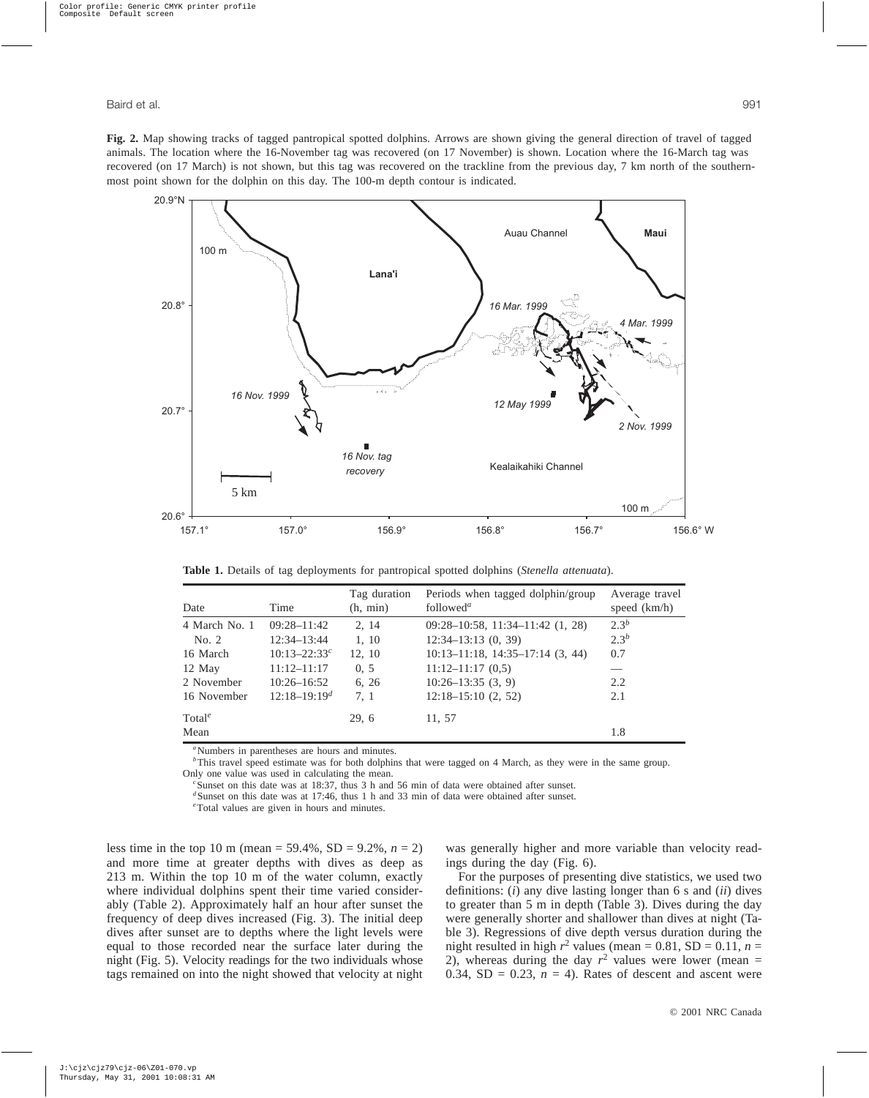**Fig. 2.** Map showing tracks of tagged pantropical spotted dolphins. Arrows are shown giving the general direction of travel of tagged animals. The location where the 16-November tag was recovered (on 17 November) is shown. Location where the 16-March tag was recovered (on 17 March) is not shown, but this tag was recovered on the trackline from the previous day, 7 km north of the southernmost point shown for the dolphin on this day. The 100-m depth contour is indicated.



**Table 1.** Details of tag deployments for pantropical spotted dolphins (*Stenella attenuata*).

| Date               | Time             | Tag duration<br>(h, min) | Periods when tagged dolphin/group<br>followed <sup><i>a</i></sup> | Average travel<br>speed $(km/h)$ |
|--------------------|------------------|--------------------------|-------------------------------------------------------------------|----------------------------------|
| 4 March No. 1      | $09:28 - 11:42$  | 2, 14                    | $09:28-10:58$ , 11:34-11:42 (1, 28)                               | 2.3 <sup>b</sup>                 |
| No. 2              | $12:34 - 13:44$  | 1, 10                    | $12:34-13:13(0, 39)$                                              | $2.3^{b}$                        |
| 16 March           | $10:13 - 22:33c$ | 12, 10                   | $10:13-11:18$ , $14:35-17:14$ (3, 44)                             | 0.7                              |
| 12 May             | $11:12 - 11:17$  | 0, 5                     | $11:12-11:17(0,5)$                                                |                                  |
| 2 November         | $10:26 - 16:52$  | 6, 26                    | $10:26 - 13:35(3, 9)$                                             | 2.2                              |
| 16 November        | $12:18-19:19d$   | 7, 1                     | $12:18-15:10(2, 52)$                                              | 2.1                              |
| Total <sup>e</sup> |                  | 29, 6                    | 11, 57                                                            |                                  |
| Mean               |                  |                          |                                                                   | 1.8                              |

<sup>a</sup>Numbers in parentheses are hours and minutes.

<sup>*b*</sup>This travel speed estimate was for both dolphins that were tagged on 4 March, as they were in the same group. Only one value was used in calculating the mean.

*c* Sunset on this date was at 18:37, thus 3 h and 56 min of data were obtained after sunset.

<sup>d</sup>Sunset on this date was at 17:46, thus 1 h and 33 min of data were obtained after sunset.

*e* Total values are given in hours and minutes.

less time in the top 10 m (mean = 59.4%, SD = 9.2%, *n* = 2) and more time at greater depths with dives as deep as 213 m. Within the top 10 m of the water column, exactly where individual dolphins spent their time varied considerably (Table 2). Approximately half an hour after sunset the frequency of deep dives increased (Fig. 3). The initial deep dives after sunset are to depths where the light levels were equal to those recorded near the surface later during the night (Fig. 5). Velocity readings for the two individuals whose tags remained on into the night showed that velocity at night was generally higher and more variable than velocity readings during the day (Fig. 6).

For the purposes of presenting dive statistics, we used two definitions: (*i*) any dive lasting longer than 6 s and (*ii*) dives to greater than 5 m in depth (Table 3). Dives during the day were generally shorter and shallower than dives at night (Table 3). Regressions of dive depth versus duration during the night resulted in high  $r^2$  values (mean = 0.81, SD = 0.11,  $n =$ 2), whereas during the day  $r^2$  values were lower (mean = 0.34,  $SD = 0.23$ ,  $n = 4$ ). Rates of descent and ascent were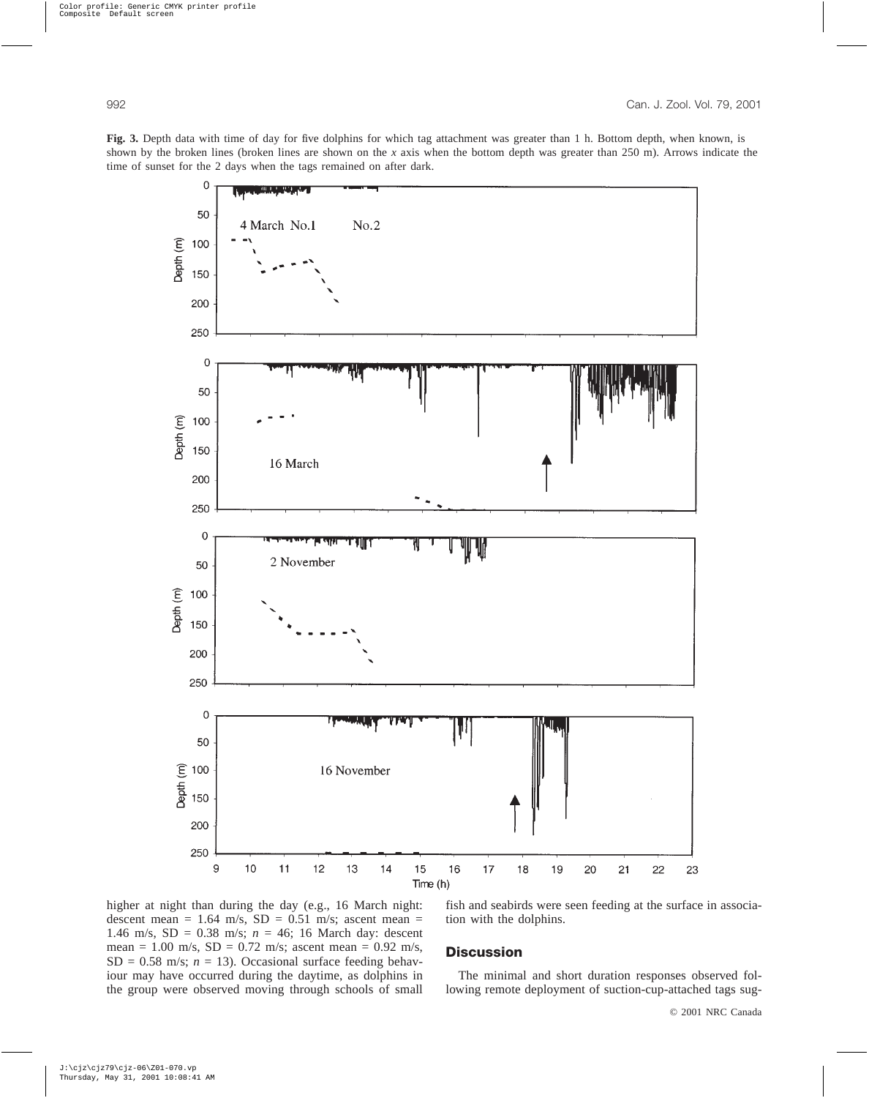**Fig. 3.** Depth data with time of day for five dolphins for which tag attachment was greater than 1 h. Bottom depth, when known, is shown by the broken lines (broken lines are shown on the *x* axis when the bottom depth was greater than 250 m). Arrows indicate the time of sunset for the 2 days when the tags remained on after dark.



higher at night than during the day (e.g., 16 March night: descent mean =  $1.64$  m/s,  $SD = 0.51$  m/s; ascent mean = 1.46 m/s, SD = 0.38 m/s; *n* = 46; 16 March day: descent mean = 1.00 m/s,  $SD = 0.72$  m/s; ascent mean = 0.92 m/s,  $SD = 0.58$  m/s;  $n = 13$ ). Occasional surface feeding behaviour may have occurred during the daytime, as dolphins in the group were observed moving through schools of small

fish and seabirds were seen feeding at the surface in association with the dolphins.

### **Discussion**

The minimal and short duration responses observed following remote deployment of suction-cup-attached tags sug-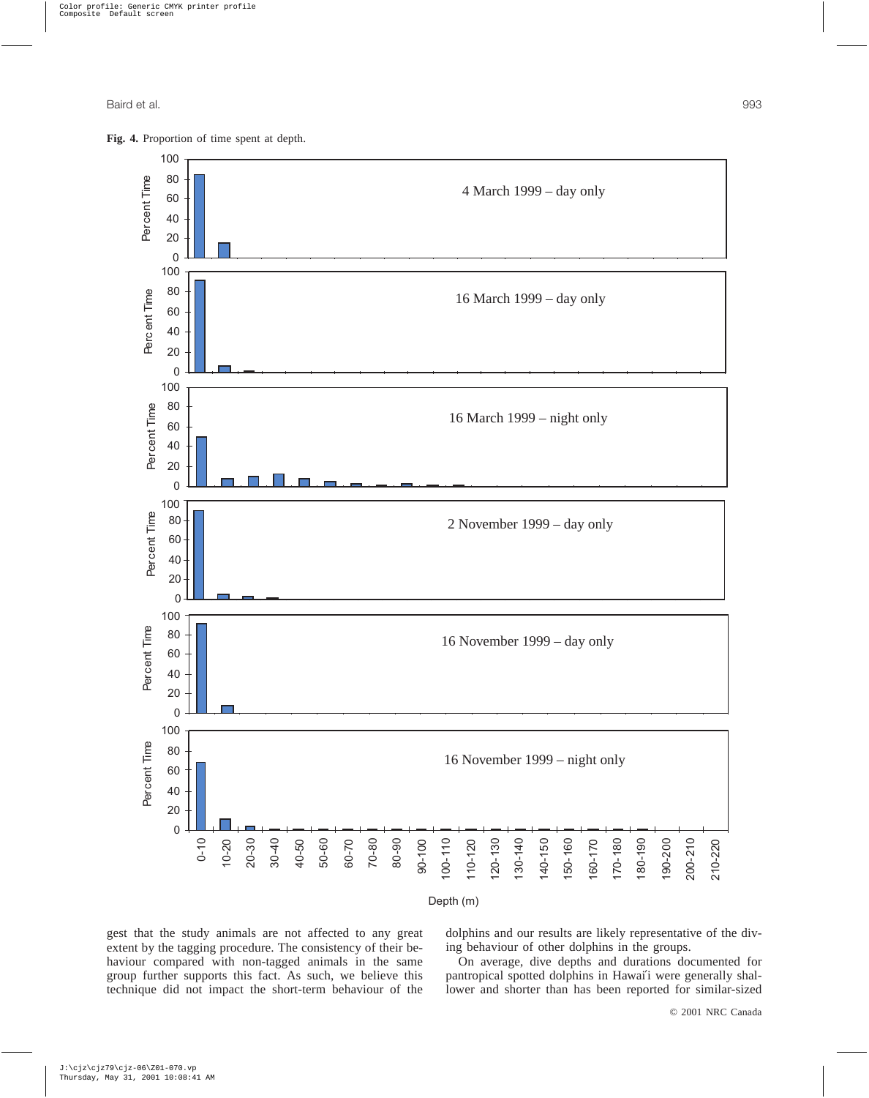



Depth (m)

gest that the study animals are not affected to any great extent by the tagging procedure. The consistency of their behaviour compared with non-tagged animals in the same group further supports this fact. As such, we believe this technique did not impact the short-term behaviour of the dolphins and our results are likely representative of the diving behaviour of other dolphins in the groups.

On average, dive depths and durations documented for pantropical spotted dolphins in Hawai′i were generally shallower and shorter than has been reported for similar-sized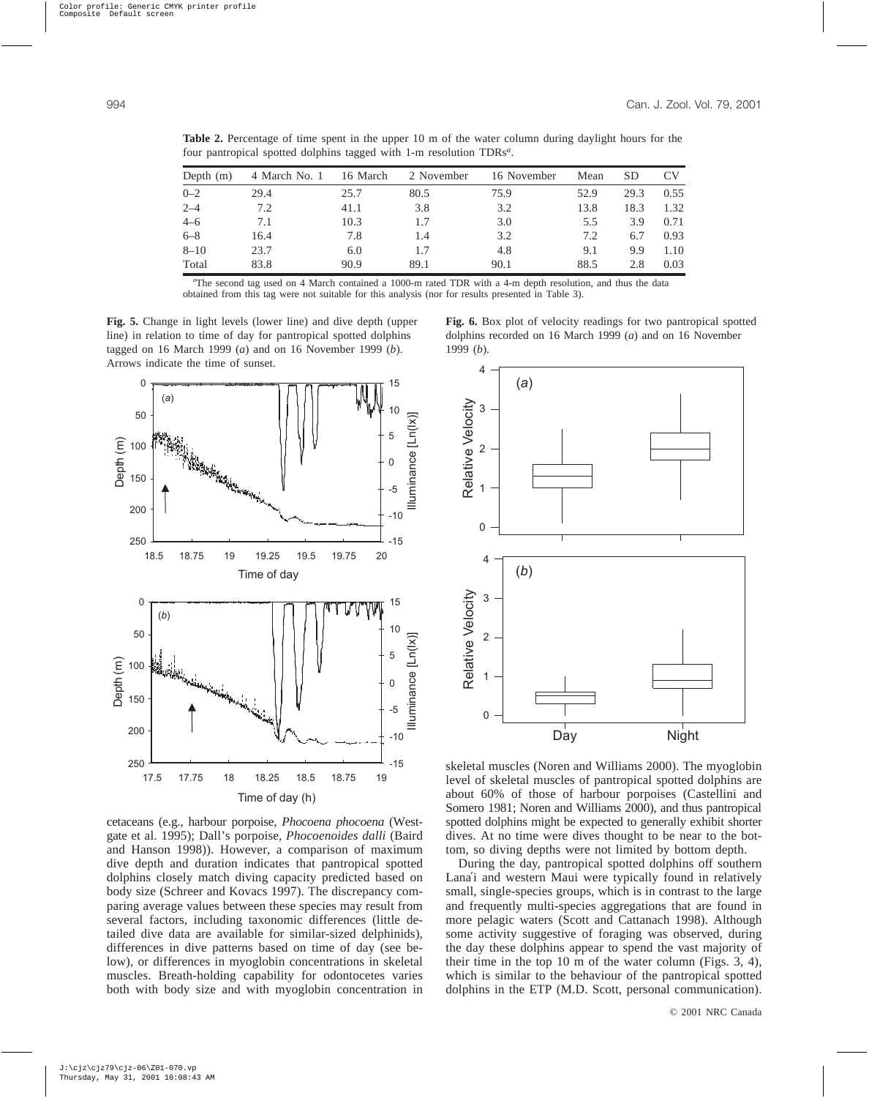| Depth $(m)$ | 4 March No. 1 | 16 March | 2 November | 16 November | Mean | <b>SD</b> | <b>CV</b> |
|-------------|---------------|----------|------------|-------------|------|-----------|-----------|
| $0 - 2$     | 29.4          | 25.7     | 80.5       | 75.9        | 52.9 | 29.3      | 0.55      |
| $2 - 4$     | 7.2           | 41.1     | 3.8        | 3.2         | 13.8 | 18.3      | 1.32      |
| $4 - 6$     | 7.1           | 10.3     | 1.7        | 3.0         | 5.5  | 3.9       | 0.71      |
| $6 - 8$     | 16.4          | 7.8      | 1.4        | 3.2         | 7.2  | 6.7       | 0.93      |
| $8 - 10$    | 23.7          | 6.0      | 1.7        | 4.8         | 9.1  | 9.9       | 1.10      |
| Total       | 83.8          | 90.9     | 89.1       | 90.1        | 88.5 | 2.8       | 0.03      |

**Table 2.** Percentage of time spent in the upper 10 m of the water column during daylight hours for the four pantropical spotted dolphins tagged with 1-m resolution TDRs*<sup>a</sup>* .

*a* The second tag used on 4 March contained a 1000-m rated TDR with a 4-m depth resolution, and thus the data obtained from this tag were not suitable for this analysis (nor for results presented in Table 3).

**Fig. 5.** Change in light levels (lower line) and dive depth (upper line) in relation to time of day for pantropical spotted dolphins tagged on 16 March 1999 (*a*) and on 16 November 1999 (*b*). Arrows indicate the time of sunset. 4



cetaceans (e.g., harbour porpoise, *Phocoena phocoena* (Westgate et al. 1995); Dall's porpoise, *Phocoenoides dalli* (Baird and Hanson 1998)). However, a comparison of maximum dive depth and duration indicates that pantropical spotted dolphins closely match diving capacity predicted based on body size (Schreer and Kovacs 1997). The discrepancy comparing average values between these species may result from several factors, including taxonomic differences (little detailed dive data are available for similar-sized delphinids), differences in dive patterns based on time of day (see below), or differences in myoglobin concentrations in skeletal muscles. Breath-holding capability for odontocetes varies both with body size and with myoglobin concentration in



**Fig. 6.** Box plot of velocity readings for two pantropical spotted dolphins recorded on 16 March 1999 (*a*) and on 16 November

skeletal muscles (Noren and Williams 2000). The myoglobin level of skeletal muscles of pantropical spotted dolphins are about 60% of those of harbour porpoises (Castellini and Somero 1981; Noren and Williams 2000), and thus pantropical spotted dolphins might be expected to generally exhibit shorter dives. At no time were dives thought to be near to the bottom, so diving depths were not limited by bottom depth.

During the day, pantropical spotted dolphins off southern Lana′i and western Maui were typically found in relatively small, single-species groups, which is in contrast to the large and frequently multi-species aggregations that are found in more pelagic waters (Scott and Cattanach 1998). Although some activity suggestive of foraging was observed, during the day these dolphins appear to spend the vast majority of their time in the top 10 m of the water column (Figs. 3, 4), which is similar to the behaviour of the pantropical spotted dolphins in the ETP (M.D. Scott, personal communication).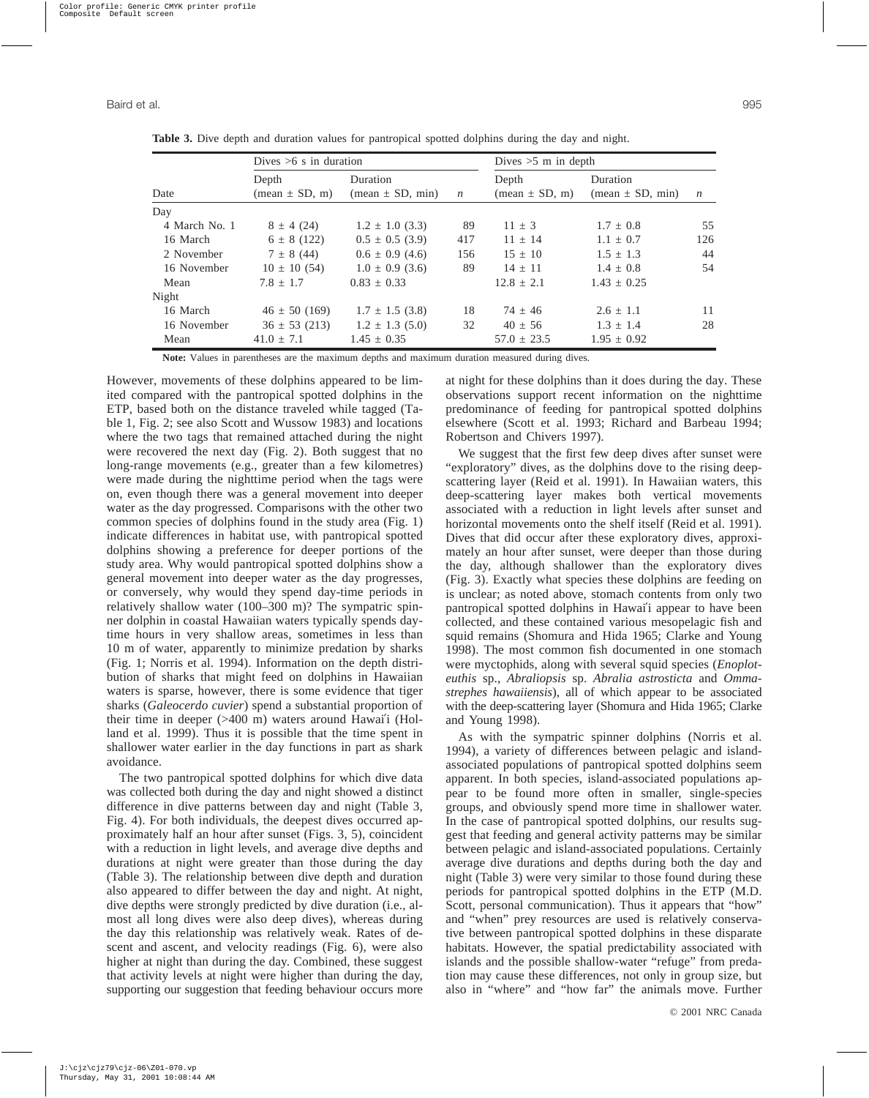|               | Dives $>6$ s in duration |                     |                  | Dives $>5$ m in depth                   |                      |                  |  |
|---------------|--------------------------|---------------------|------------------|-----------------------------------------|----------------------|------------------|--|
|               | Depth                    | Duration            |                  | Depth                                   | Duration             |                  |  |
| Date          | $mean \pm SD, m$         | $mean \pm SD, min)$ | $\boldsymbol{n}$ | $(\text{mean} \pm \text{SD}, \text{m})$ | $(mean \pm SD, min)$ | $\boldsymbol{n}$ |  |
| Day           |                          |                     |                  |                                         |                      |                  |  |
| 4 March No. 1 | $8 \pm 4(24)$            | $1.2 \pm 1.0$ (3.3) | 89               | $11 \pm 3$                              | $1.7 \pm 0.8$        | 55               |  |
| 16 March      | $6 \pm 8(122)$           | $0.5 \pm 0.5$ (3.9) | 417              | $11 + 14$                               | $1.1 \pm 0.7$        | 126              |  |
| 2 November    | $7 \pm 8(44)$            | $0.6 \pm 0.9$ (4.6) | 156              | $15 \pm 10$                             | $1.5 \pm 1.3$        | 44               |  |
| 16 November   | $10 \pm 10$ (54)         | $1.0 \pm 0.9$ (3.6) | 89               | $14 + 11$                               | $1.4 \pm 0.8$        | 54               |  |
| Mean          | $7.8 + 1.7$              | $0.83 \pm 0.33$     |                  | $12.8 \pm 2.1$                          | $1.43 + 0.25$        |                  |  |
| Night         |                          |                     |                  |                                         |                      |                  |  |
| 16 March      | $46 \pm 50$ (169)        | $1.7 \pm 1.5$ (3.8) | 18               | $74 + 46$                               | $2.6 \pm 1.1$        | 11               |  |
| 16 November   | $36 \pm 53$ (213)        | $1.2 \pm 1.3$ (5.0) | 32               | $40 \pm 56$                             | $1.3 \pm 1.4$        | 28               |  |
| Mean          | $41.0 + 7.1$             | $1.45 \pm 0.35$     |                  | $57.0 \pm 23.5$                         | $1.95 \pm 0.92$      |                  |  |

**Table 3.** Dive depth and duration values for pantropical spotted dolphins during the day and night.

**Note:** Values in parentheses are the maximum depths and maximum duration measured during dives.

However, movements of these dolphins appeared to be limited compared with the pantropical spotted dolphins in the ETP, based both on the distance traveled while tagged (Table 1, Fig. 2; see also Scott and Wussow 1983) and locations where the two tags that remained attached during the night were recovered the next day (Fig. 2). Both suggest that no long-range movements (e.g., greater than a few kilometres) were made during the nighttime period when the tags were on, even though there was a general movement into deeper water as the day progressed. Comparisons with the other two common species of dolphins found in the study area (Fig. 1) indicate differences in habitat use, with pantropical spotted dolphins showing a preference for deeper portions of the study area. Why would pantropical spotted dolphins show a general movement into deeper water as the day progresses, or conversely, why would they spend day-time periods in relatively shallow water (100–300 m)? The sympatric spinner dolphin in coastal Hawaiian waters typically spends daytime hours in very shallow areas, sometimes in less than 10 m of water, apparently to minimize predation by sharks (Fig. 1; Norris et al. 1994). Information on the depth distribution of sharks that might feed on dolphins in Hawaiian waters is sparse, however, there is some evidence that tiger sharks (*Galeocerdo cuvier*) spend a substantial proportion of their time in deeper (>400 m) waters around Hawai′i (Holland et al. 1999). Thus it is possible that the time spent in shallower water earlier in the day functions in part as shark avoidance.

The two pantropical spotted dolphins for which dive data was collected both during the day and night showed a distinct difference in dive patterns between day and night (Table 3, Fig. 4). For both individuals, the deepest dives occurred approximately half an hour after sunset (Figs. 3, 5), coincident with a reduction in light levels, and average dive depths and durations at night were greater than those during the day (Table 3). The relationship between dive depth and duration also appeared to differ between the day and night. At night, dive depths were strongly predicted by dive duration (i.e., almost all long dives were also deep dives), whereas during the day this relationship was relatively weak. Rates of descent and ascent, and velocity readings (Fig. 6), were also higher at night than during the day. Combined, these suggest that activity levels at night were higher than during the day, supporting our suggestion that feeding behaviour occurs more

at night for these dolphins than it does during the day. These observations support recent information on the nighttime predominance of feeding for pantropical spotted dolphins elsewhere (Scott et al. 1993; Richard and Barbeau 1994; Robertson and Chivers 1997).

We suggest that the first few deep dives after sunset were "exploratory" dives, as the dolphins dove to the rising deepscattering layer (Reid et al. 1991). In Hawaiian waters, this deep-scattering layer makes both vertical movements associated with a reduction in light levels after sunset and horizontal movements onto the shelf itself (Reid et al. 1991). Dives that did occur after these exploratory dives, approximately an hour after sunset, were deeper than those during the day, although shallower than the exploratory dives (Fig. 3). Exactly what species these dolphins are feeding on is unclear; as noted above, stomach contents from only two pantropical spotted dolphins in Hawai′i appear to have been collected, and these contained various mesopelagic fish and squid remains (Shomura and Hida 1965; Clarke and Young 1998). The most common fish documented in one stomach were myctophids, along with several squid species (*Enoploteuthis* sp., *Abraliopsis* sp. *Abralia astrosticta* and *Ommastrephes hawaiiensis*), all of which appear to be associated with the deep-scattering layer (Shomura and Hida 1965; Clarke and Young 1998).

As with the sympatric spinner dolphins (Norris et al. 1994), a variety of differences between pelagic and islandassociated populations of pantropical spotted dolphins seem apparent. In both species, island-associated populations appear to be found more often in smaller, single-species groups, and obviously spend more time in shallower water. In the case of pantropical spotted dolphins, our results suggest that feeding and general activity patterns may be similar between pelagic and island-associated populations. Certainly average dive durations and depths during both the day and night (Table 3) were very similar to those found during these periods for pantropical spotted dolphins in the ETP (M.D. Scott, personal communication). Thus it appears that "how" and "when" prey resources are used is relatively conservative between pantropical spotted dolphins in these disparate habitats. However, the spatial predictability associated with islands and the possible shallow-water "refuge" from predation may cause these differences, not only in group size, but also in "where" and "how far" the animals move. Further